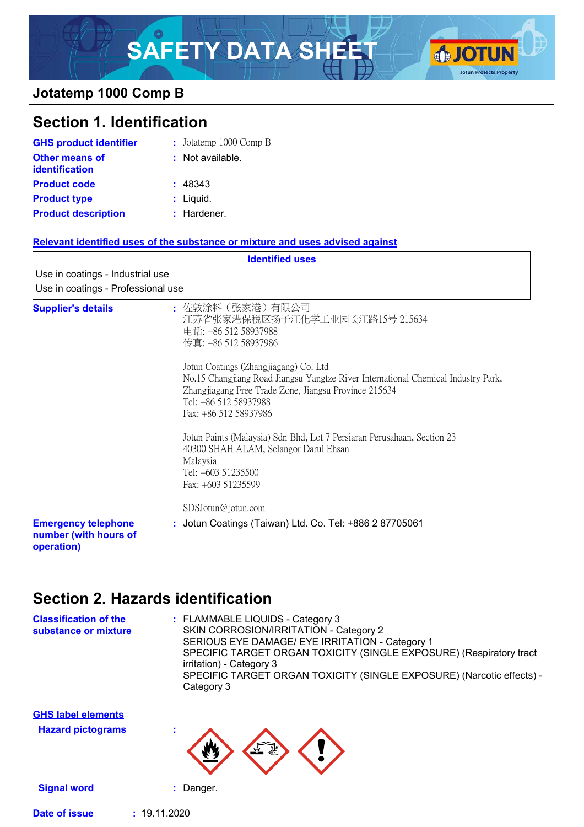# SAFETY DATA SHEET **OF JOTUN**



### **Jotatemp 1000 Comp B**

| <b>Section 1. Identification</b>                                  |                                                                                                                                                                                                                                                                                                                   |
|-------------------------------------------------------------------|-------------------------------------------------------------------------------------------------------------------------------------------------------------------------------------------------------------------------------------------------------------------------------------------------------------------|
| <b>GHS product identifier</b>                                     | : Jotatemp 1000 Comp B                                                                                                                                                                                                                                                                                            |
| <b>Other means of</b><br><b>identification</b>                    | : Not available.                                                                                                                                                                                                                                                                                                  |
| <b>Product code</b>                                               | : 48343                                                                                                                                                                                                                                                                                                           |
| <b>Product type</b>                                               | : Liquid.                                                                                                                                                                                                                                                                                                         |
| <b>Product description</b>                                        | : Hardener.                                                                                                                                                                                                                                                                                                       |
|                                                                   | Relevant identified uses of the substance or mixture and uses advised against                                                                                                                                                                                                                                     |
|                                                                   | <b>Identified uses</b>                                                                                                                                                                                                                                                                                            |
| Use in coatings - Industrial use                                  |                                                                                                                                                                                                                                                                                                                   |
| Use in coatings - Professional use                                |                                                                                                                                                                                                                                                                                                                   |
| <b>Supplier's details</b>                                         | : 佐敦涂料(张家港)有限公司<br>江苏省张家港保税区扬子江化学工业园长江路15号 215634<br>电话: +86 512 58937988<br>传真: +86 512 58937986<br>Jotun Coatings (Zhangjiagang) Co. Ltd<br>No.15 Changjiang Road Jiangsu Yangtze River International Chemical Industry Park,<br>Zhangjiagang Free Trade Zone, Jiangsu Province 215634<br>Tel: +86 512 58937988 |
|                                                                   | Fax: +86 512 58937986                                                                                                                                                                                                                                                                                             |
|                                                                   | Jotun Paints (Malaysia) Sdn Bhd, Lot 7 Persiaran Perusahaan, Section 23<br>40300 SHAH ALAM, Selangor Darul Ehsan<br>Malaysia<br>Tel: +603 51235500<br>Fax: +603 51235599                                                                                                                                          |
|                                                                   | SDSJotun@jotun.com                                                                                                                                                                                                                                                                                                |
| <b>Emergency telephone</b><br>number (with hours of<br>operation) | : Jotun Coatings (Taiwan) Ltd. Co. Tel: +886 2 87705061                                                                                                                                                                                                                                                           |

## **Section 2. Hazards identification**

| <b>Hazard pictograms</b>  | ×.                                                                                                                                                               |
|---------------------------|------------------------------------------------------------------------------------------------------------------------------------------------------------------|
| <b>GHS label elements</b> |                                                                                                                                                                  |
|                           | irritation) - Category 3<br>SPECIFIC TARGET ORGAN TOXICITY (SINGLE EXPOSURE) (Narcotic effects) -<br>Category 3                                                  |
| substance or mixture      | SKIN CORROSION/IRRITATION - Category 2<br>SERIOUS EYE DAMAGE/ EYE IRRITATION - Category 1<br>SPECIFIC TARGET ORGAN TOXICITY (SINGLE EXPOSURE) (Respiratory tract |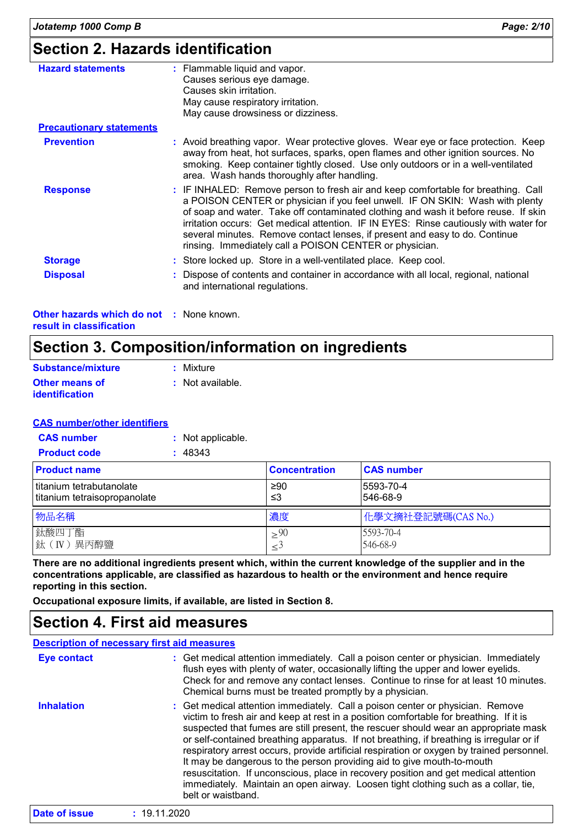### **Section 2. Hazards identification**

| <b>Hazard statements</b>                               | : Flammable liquid and vapor.<br>Causes serious eye damage.<br>Causes skin irritation.<br>May cause respiratory irritation.<br>May cause drowsiness or dizziness.                                                                                                                                                                                                                                                                                                                            |
|--------------------------------------------------------|----------------------------------------------------------------------------------------------------------------------------------------------------------------------------------------------------------------------------------------------------------------------------------------------------------------------------------------------------------------------------------------------------------------------------------------------------------------------------------------------|
| <b>Precautionary statements</b>                        |                                                                                                                                                                                                                                                                                                                                                                                                                                                                                              |
| <b>Prevention</b>                                      | : Avoid breathing vapor. Wear protective gloves. Wear eye or face protection. Keep<br>away from heat, hot surfaces, sparks, open flames and other ignition sources. No<br>smoking. Keep container tightly closed. Use only outdoors or in a well-ventilated<br>area. Wash hands thoroughly after handling.                                                                                                                                                                                   |
| <b>Response</b>                                        | : IF INHALED: Remove person to fresh air and keep comfortable for breathing. Call<br>a POISON CENTER or physician if you feel unwell. IF ON SKIN: Wash with plenty<br>of soap and water. Take off contaminated clothing and wash it before reuse. If skin<br>irritation occurs: Get medical attention. IF IN EYES: Rinse cautiously with water for<br>several minutes. Remove contact lenses, if present and easy to do. Continue<br>rinsing. Immediately call a POISON CENTER or physician. |
| <b>Storage</b>                                         | : Store locked up. Store in a well-ventilated place. Keep cool.                                                                                                                                                                                                                                                                                                                                                                                                                              |
| <b>Disposal</b>                                        | : Dispose of contents and container in accordance with all local, regional, national<br>and international regulations.                                                                                                                                                                                                                                                                                                                                                                       |
| Other hazards which do not<br>result in classification | : None known.                                                                                                                                                                                                                                                                                                                                                                                                                                                                                |

# **Section 3. Composition/information on ingredients**

| Substance/mixture                              | : Mixture        |
|------------------------------------------------|------------------|
| <b>Other means of</b><br><b>identification</b> | : Not available. |

#### **CAS number/other identifiers**

| <b>CAS number</b>   | : Not applicable. |
|---------------------|-------------------|
| <b>Product code</b> | : 48343           |

| <b>Product name</b>                                        | <b>Concentration</b> | <b>CAS number</b>     |
|------------------------------------------------------------|----------------------|-----------------------|
| I titanium tetrabutanolate<br>titanium tetraisopropanolate | ≥90<br>≤3            | 5593-70-4<br>546-68-9 |
| 物品名稱                                                       | 濃度                   | 化學文摘社登記號碼(CAS No.)    |
| 鈦酸四丁酯<br> 鈦 (IV) 異丙醇鹽                                      | >90<br>$\leq$        | 5593-70-4<br>546-68-9 |

**There are no additional ingredients present which, within the current knowledge of the supplier and in the concentrations applicable, are classified as hazardous to health or the environment and hence require reporting in this section.**

**Occupational exposure limits, if available, are listed in Section 8.**

### **Section 4. First aid measures**

#### **Description of necessary first aid measures**

| <b>Eye contact</b> | : Get medical attention immediately. Call a poison center or physician. Immediately<br>flush eyes with plenty of water, occasionally lifting the upper and lower eyelids.<br>Check for and remove any contact lenses. Continue to rinse for at least 10 minutes.<br>Chemical burns must be treated promptly by a physician.                                                                                                                                                                                                                                                                                                                                                                                                           |
|--------------------|---------------------------------------------------------------------------------------------------------------------------------------------------------------------------------------------------------------------------------------------------------------------------------------------------------------------------------------------------------------------------------------------------------------------------------------------------------------------------------------------------------------------------------------------------------------------------------------------------------------------------------------------------------------------------------------------------------------------------------------|
| <b>Inhalation</b>  | : Get medical attention immediately. Call a poison center or physician. Remove<br>victim to fresh air and keep at rest in a position comfortable for breathing. If it is<br>suspected that fumes are still present, the rescuer should wear an appropriate mask<br>or self-contained breathing apparatus. If not breathing, if breathing is irregular or if<br>respiratory arrest occurs, provide artificial respiration or oxygen by trained personnel.<br>It may be dangerous to the person providing aid to give mouth-to-mouth<br>resuscitation. If unconscious, place in recovery position and get medical attention<br>immediately. Maintain an open airway. Loosen tight clothing such as a collar, tie,<br>belt or waistband. |
| Dota of inque      | .1011000                                                                                                                                                                                                                                                                                                                                                                                                                                                                                                                                                                                                                                                                                                                              |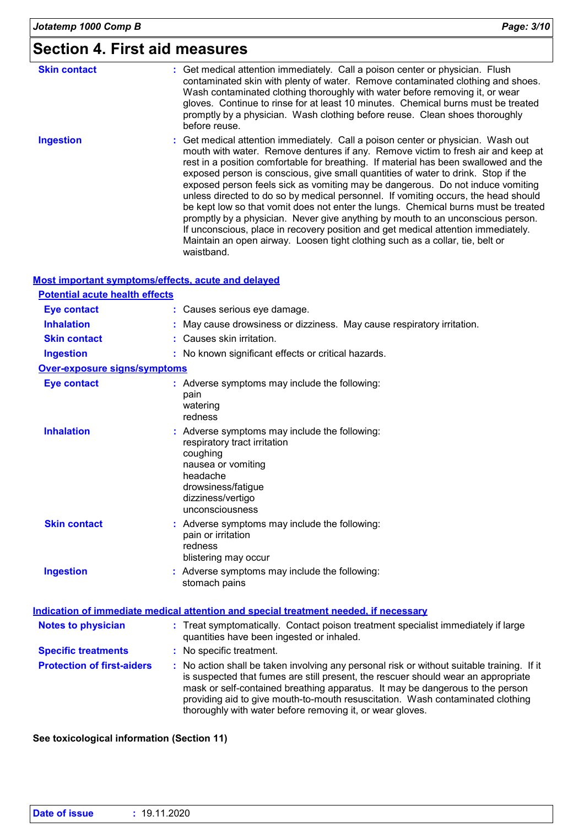# **Section 4. First aid measures**

| <b>Skin contact</b> | : Get medical attention immediately. Call a poison center or physician. Flush<br>contaminated skin with plenty of water. Remove contaminated clothing and shoes.<br>Wash contaminated clothing thoroughly with water before removing it, or wear<br>gloves. Continue to rinse for at least 10 minutes. Chemical burns must be treated<br>promptly by a physician. Wash clothing before reuse. Clean shoes thoroughly<br>before reuse.                                                                                                                                                                                                                                                                                                                                                                                                                                                  |
|---------------------|----------------------------------------------------------------------------------------------------------------------------------------------------------------------------------------------------------------------------------------------------------------------------------------------------------------------------------------------------------------------------------------------------------------------------------------------------------------------------------------------------------------------------------------------------------------------------------------------------------------------------------------------------------------------------------------------------------------------------------------------------------------------------------------------------------------------------------------------------------------------------------------|
| <b>Ingestion</b>    | : Get medical attention immediately. Call a poison center or physician. Wash out<br>mouth with water. Remove dentures if any. Remove victim to fresh air and keep at<br>rest in a position comfortable for breathing. If material has been swallowed and the<br>exposed person is conscious, give small quantities of water to drink. Stop if the<br>exposed person feels sick as vomiting may be dangerous. Do not induce vomiting<br>unless directed to do so by medical personnel. If vomiting occurs, the head should<br>be kept low so that vomit does not enter the lungs. Chemical burns must be treated<br>promptly by a physician. Never give anything by mouth to an unconscious person.<br>If unconscious, place in recovery position and get medical attention immediately.<br>Maintain an open airway. Loosen tight clothing such as a collar, tie, belt or<br>waistband. |

### **Most important symptoms/effects, acute and delayed**

| <b>Potential acute health effects</b> |                                                                                                                                                                                                                                                                                                                                                                                                                 |
|---------------------------------------|-----------------------------------------------------------------------------------------------------------------------------------------------------------------------------------------------------------------------------------------------------------------------------------------------------------------------------------------------------------------------------------------------------------------|
| <b>Eye contact</b>                    | : Causes serious eye damage.                                                                                                                                                                                                                                                                                                                                                                                    |
| <b>Inhalation</b>                     | May cause drowsiness or dizziness. May cause respiratory irritation.                                                                                                                                                                                                                                                                                                                                            |
| <b>Skin contact</b>                   | : Causes skin irritation.                                                                                                                                                                                                                                                                                                                                                                                       |
| <b>Ingestion</b>                      | : No known significant effects or critical hazards.                                                                                                                                                                                                                                                                                                                                                             |
| Over-exposure signs/symptoms          |                                                                                                                                                                                                                                                                                                                                                                                                                 |
| <b>Eye contact</b>                    | : Adverse symptoms may include the following:<br>pain<br>watering<br>redness                                                                                                                                                                                                                                                                                                                                    |
| <b>Inhalation</b>                     | Adverse symptoms may include the following:<br>respiratory tract irritation<br>coughing<br>nausea or vomiting<br>headache<br>drowsiness/fatigue<br>dizziness/vertigo<br>unconsciousness                                                                                                                                                                                                                         |
| <b>Skin contact</b>                   | : Adverse symptoms may include the following:<br>pain or irritation<br>redness<br>blistering may occur                                                                                                                                                                                                                                                                                                          |
| <b>Ingestion</b>                      | Adverse symptoms may include the following:<br>stomach pains                                                                                                                                                                                                                                                                                                                                                    |
|                                       | Indication of immediate medical attention and special treatment needed, if necessary                                                                                                                                                                                                                                                                                                                            |
| <b>Notes to physician</b>             | : Treat symptomatically. Contact poison treatment specialist immediately if large<br>quantities have been ingested or inhaled.                                                                                                                                                                                                                                                                                  |
| <b>Specific treatments</b>            | : No specific treatment.                                                                                                                                                                                                                                                                                                                                                                                        |
| <b>Protection of first-aiders</b>     | : No action shall be taken involving any personal risk or without suitable training. If it<br>is suspected that fumes are still present, the rescuer should wear an appropriate<br>mask or self-contained breathing apparatus. It may be dangerous to the person<br>providing aid to give mouth-to-mouth resuscitation. Wash contaminated clothing<br>thoroughly with water before removing it, or wear gloves. |

### **See toxicological information (Section 11)**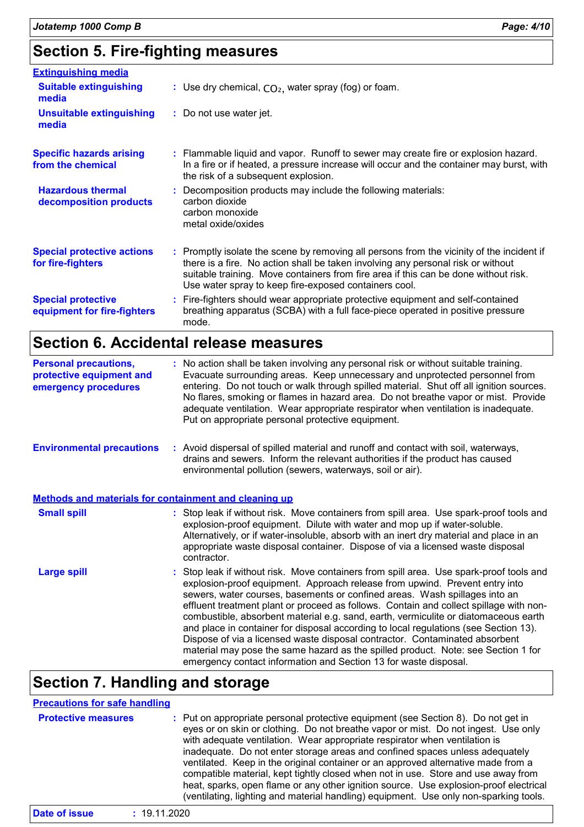| <b>Extinguishing media</b>                               |                                                                                                                                                                                                                                                                                                                               |
|----------------------------------------------------------|-------------------------------------------------------------------------------------------------------------------------------------------------------------------------------------------------------------------------------------------------------------------------------------------------------------------------------|
| <b>Suitable extinguishing</b><br>media                   | : Use dry chemical, $CO2$ , water spray (fog) or foam.                                                                                                                                                                                                                                                                        |
| <b>Unsuitable extinguishing</b><br>media                 | : Do not use water jet.                                                                                                                                                                                                                                                                                                       |
| <b>Specific hazards arising</b><br>from the chemical     | : Flammable liquid and vapor. Runoff to sewer may create fire or explosion hazard.<br>In a fire or if heated, a pressure increase will occur and the container may burst, with<br>the risk of a subsequent explosion.                                                                                                         |
| <b>Hazardous thermal</b><br>decomposition products       | : Decomposition products may include the following materials:<br>carbon dioxide<br>carbon monoxide<br>metal oxide/oxides                                                                                                                                                                                                      |
| <b>Special protective actions</b><br>for fire-fighters   | : Promptly isolate the scene by removing all persons from the vicinity of the incident if<br>there is a fire. No action shall be taken involving any personal risk or without<br>suitable training. Move containers from fire area if this can be done without risk.<br>Use water spray to keep fire-exposed containers cool. |
| <b>Special protective</b><br>equipment for fire-fighters | : Fire-fighters should wear appropriate protective equipment and self-contained<br>breathing apparatus (SCBA) with a full face-piece operated in positive pressure<br>mode.                                                                                                                                                   |

# **Section 6. Accidental release measures**

| <b>Personal precautions,</b><br>protective equipment and<br>emergency procedures | : No action shall be taken involving any personal risk or without suitable training.<br>Evacuate surrounding areas. Keep unnecessary and unprotected personnel from<br>entering. Do not touch or walk through spilled material. Shut off all ignition sources.<br>No flares, smoking or flames in hazard area. Do not breathe vapor or mist. Provide<br>adequate ventilation. Wear appropriate respirator when ventilation is inadequate.<br>Put on appropriate personal protective equipment.                                                                                                                                                                                                                                                                        |
|----------------------------------------------------------------------------------|-----------------------------------------------------------------------------------------------------------------------------------------------------------------------------------------------------------------------------------------------------------------------------------------------------------------------------------------------------------------------------------------------------------------------------------------------------------------------------------------------------------------------------------------------------------------------------------------------------------------------------------------------------------------------------------------------------------------------------------------------------------------------|
| <b>Environmental precautions</b>                                                 | : Avoid dispersal of spilled material and runoff and contact with soil, waterways,<br>drains and sewers. Inform the relevant authorities if the product has caused<br>environmental pollution (sewers, waterways, soil or air).                                                                                                                                                                                                                                                                                                                                                                                                                                                                                                                                       |
|                                                                                  | Methods and materials for containment and cleaning up                                                                                                                                                                                                                                                                                                                                                                                                                                                                                                                                                                                                                                                                                                                 |
| <b>Small spill</b>                                                               | : Stop leak if without risk. Move containers from spill area. Use spark-proof tools and<br>explosion-proof equipment. Dilute with water and mop up if water-soluble.<br>Alternatively, or if water-insoluble, absorb with an inert dry material and place in an<br>appropriate waste disposal container. Dispose of via a licensed waste disposal<br>contractor.                                                                                                                                                                                                                                                                                                                                                                                                      |
| <b>Large spill</b>                                                               | : Stop leak if without risk. Move containers from spill area. Use spark-proof tools and<br>explosion-proof equipment. Approach release from upwind. Prevent entry into<br>sewers, water courses, basements or confined areas. Wash spillages into an<br>effluent treatment plant or proceed as follows. Contain and collect spillage with non-<br>combustible, absorbent material e.g. sand, earth, vermiculite or diatomaceous earth<br>and place in container for disposal according to local regulations (see Section 13).<br>Dispose of via a licensed waste disposal contractor. Contaminated absorbent<br>material may pose the same hazard as the spilled product. Note: see Section 1 for<br>emergency contact information and Section 13 for waste disposal. |

### **Section 7. Handling and storage**

| <b>Precautions for safe handling</b><br><b>Protective measures</b> | : Put on appropriate personal protective equipment (see Section 8). Do not get in<br>eyes or on skin or clothing. Do not breathe vapor or mist. Do not ingest. Use only<br>with adequate ventilation. Wear appropriate respirator when ventilation is<br>inadequate. Do not enter storage areas and confined spaces unless adequately                    |
|--------------------------------------------------------------------|----------------------------------------------------------------------------------------------------------------------------------------------------------------------------------------------------------------------------------------------------------------------------------------------------------------------------------------------------------|
|                                                                    | ventilated. Keep in the original container or an approved alternative made from a<br>compatible material, kept tightly closed when not in use. Store and use away from<br>heat, sparks, open flame or any other ignition source. Use explosion-proof electrical<br>(ventilating, lighting and material handling) equipment. Use only non-sparking tools. |
| Date of issue                                                      | : 19.11.2020                                                                                                                                                                                                                                                                                                                                             |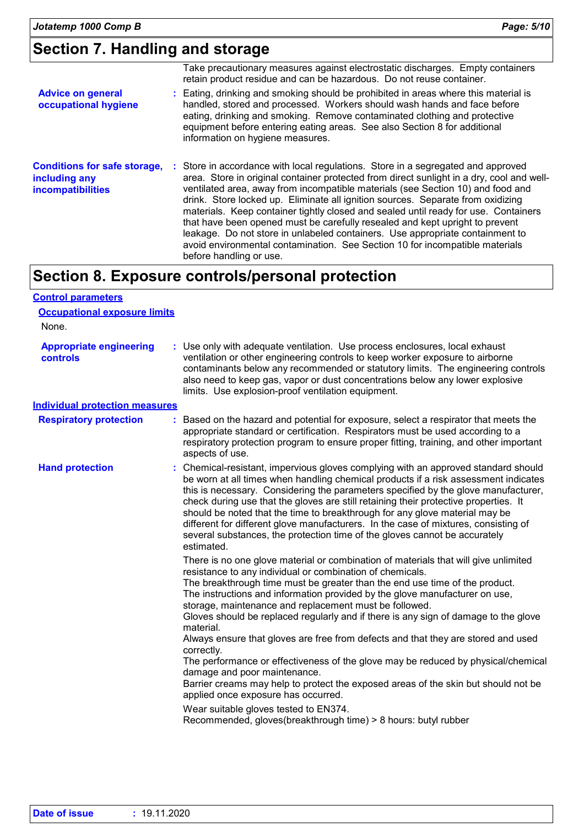### **Section 7. Handling and storage**

|                                                                                  | Take precautionary measures against electrostatic discharges. Empty containers<br>retain product residue and can be hazardous. Do not reuse container.                                                                                                                                                                                                                                                                                                                                                                                                                                                                                                                                                                 |
|----------------------------------------------------------------------------------|------------------------------------------------------------------------------------------------------------------------------------------------------------------------------------------------------------------------------------------------------------------------------------------------------------------------------------------------------------------------------------------------------------------------------------------------------------------------------------------------------------------------------------------------------------------------------------------------------------------------------------------------------------------------------------------------------------------------|
| <b>Advice on general</b><br>occupational hygiene                                 | : Eating, drinking and smoking should be prohibited in areas where this material is<br>handled, stored and processed. Workers should wash hands and face before<br>eating, drinking and smoking. Remove contaminated clothing and protective<br>equipment before entering eating areas. See also Section 8 for additional<br>information on hygiene measures.                                                                                                                                                                                                                                                                                                                                                          |
| <b>Conditions for safe storage,</b><br>including any<br><b>incompatibilities</b> | : Store in accordance with local regulations. Store in a segregated and approved<br>area. Store in original container protected from direct sunlight in a dry, cool and well-<br>ventilated area, away from incompatible materials (see Section 10) and food and<br>drink. Store locked up. Eliminate all ignition sources. Separate from oxidizing<br>materials. Keep container tightly closed and sealed until ready for use. Containers<br>that have been opened must be carefully resealed and kept upright to prevent<br>leakage. Do not store in unlabeled containers. Use appropriate containment to<br>avoid environmental contamination. See Section 10 for incompatible materials<br>before handling or use. |

### **Section 8. Exposure controls/personal protection**

| <b>Control parameters</b>                  |                                                                                                                                                                                                                                                                                                                                                                                                                                                                                                                                                                                                                                                                                                                                                                                                                                                                                                                                              |
|--------------------------------------------|----------------------------------------------------------------------------------------------------------------------------------------------------------------------------------------------------------------------------------------------------------------------------------------------------------------------------------------------------------------------------------------------------------------------------------------------------------------------------------------------------------------------------------------------------------------------------------------------------------------------------------------------------------------------------------------------------------------------------------------------------------------------------------------------------------------------------------------------------------------------------------------------------------------------------------------------|
| <b>Occupational exposure limits</b>        |                                                                                                                                                                                                                                                                                                                                                                                                                                                                                                                                                                                                                                                                                                                                                                                                                                                                                                                                              |
| None.                                      |                                                                                                                                                                                                                                                                                                                                                                                                                                                                                                                                                                                                                                                                                                                                                                                                                                                                                                                                              |
| <b>Appropriate engineering</b><br>controls | : Use only with adequate ventilation. Use process enclosures, local exhaust<br>ventilation or other engineering controls to keep worker exposure to airborne<br>contaminants below any recommended or statutory limits. The engineering controls<br>also need to keep gas, vapor or dust concentrations below any lower explosive<br>limits. Use explosion-proof ventilation equipment.                                                                                                                                                                                                                                                                                                                                                                                                                                                                                                                                                      |
| <b>Individual protection measures</b>      |                                                                                                                                                                                                                                                                                                                                                                                                                                                                                                                                                                                                                                                                                                                                                                                                                                                                                                                                              |
| <b>Respiratory protection</b>              | Based on the hazard and potential for exposure, select a respirator that meets the<br>appropriate standard or certification. Respirators must be used according to a<br>respiratory protection program to ensure proper fitting, training, and other important<br>aspects of use.                                                                                                                                                                                                                                                                                                                                                                                                                                                                                                                                                                                                                                                            |
| <b>Hand protection</b>                     | : Chemical-resistant, impervious gloves complying with an approved standard should<br>be worn at all times when handling chemical products if a risk assessment indicates<br>this is necessary. Considering the parameters specified by the glove manufacturer,<br>check during use that the gloves are still retaining their protective properties. It<br>should be noted that the time to breakthrough for any glove material may be<br>different for different glove manufacturers. In the case of mixtures, consisting of<br>several substances, the protection time of the gloves cannot be accurately<br>estimated.                                                                                                                                                                                                                                                                                                                    |
|                                            | There is no one glove material or combination of materials that will give unlimited<br>resistance to any individual or combination of chemicals.<br>The breakthrough time must be greater than the end use time of the product.<br>The instructions and information provided by the glove manufacturer on use,<br>storage, maintenance and replacement must be followed.<br>Gloves should be replaced regularly and if there is any sign of damage to the glove<br>material.<br>Always ensure that gloves are free from defects and that they are stored and used<br>correctly.<br>The performance or effectiveness of the glove may be reduced by physical/chemical<br>damage and poor maintenance.<br>Barrier creams may help to protect the exposed areas of the skin but should not be<br>applied once exposure has occurred.<br>Wear suitable gloves tested to EN374.<br>Recommended, gloves(breakthrough time) > 8 hours: butyl rubber |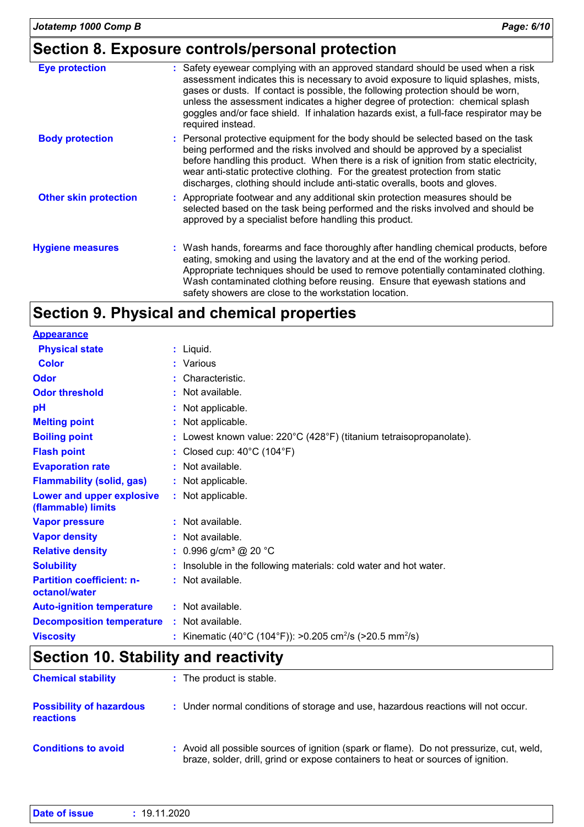### **Section 8. Exposure controls/personal protection**

| <b>Eye protection</b>        | : Safety eyewear complying with an approved standard should be used when a risk<br>assessment indicates this is necessary to avoid exposure to liquid splashes, mists,<br>gases or dusts. If contact is possible, the following protection should be worn,<br>unless the assessment indicates a higher degree of protection: chemical splash<br>goggles and/or face shield. If inhalation hazards exist, a full-face respirator may be<br>required instead. |
|------------------------------|-------------------------------------------------------------------------------------------------------------------------------------------------------------------------------------------------------------------------------------------------------------------------------------------------------------------------------------------------------------------------------------------------------------------------------------------------------------|
| <b>Body protection</b>       | : Personal protective equipment for the body should be selected based on the task<br>being performed and the risks involved and should be approved by a specialist<br>before handling this product. When there is a risk of ignition from static electricity,<br>wear anti-static protective clothing. For the greatest protection from static<br>discharges, clothing should include anti-static overalls, boots and gloves.                               |
| <b>Other skin protection</b> | : Appropriate footwear and any additional skin protection measures should be<br>selected based on the task being performed and the risks involved and should be<br>approved by a specialist before handling this product.                                                                                                                                                                                                                                   |
| <b>Hygiene measures</b>      | : Wash hands, forearms and face thoroughly after handling chemical products, before<br>eating, smoking and using the lavatory and at the end of the working period.<br>Appropriate techniques should be used to remove potentially contaminated clothing.<br>Wash contaminated clothing before reusing. Ensure that eyewash stations and<br>safety showers are close to the workstation location.                                                           |

### **Section 9. Physical and chemical properties**

| <b>Appearance</b>                                 |                                                                                          |
|---------------------------------------------------|------------------------------------------------------------------------------------------|
| <b>Physical state</b>                             | $:$ Liquid.                                                                              |
| <b>Color</b>                                      | Various<br>÷.                                                                            |
| Odor                                              | Characteristic.<br>t.                                                                    |
| <b>Odor threshold</b>                             | Not available.                                                                           |
| pH                                                | Not applicable.                                                                          |
| <b>Melting point</b>                              | Not applicable.                                                                          |
| <b>Boiling point</b>                              | : Lowest known value: $220^{\circ}$ C (428 $^{\circ}$ F) (titanium tetraisopropanolate). |
| <b>Flash point</b>                                | : Closed cup: $40^{\circ}$ C (104 $^{\circ}$ F)                                          |
| <b>Evaporation rate</b>                           | : Not available.                                                                         |
| <b>Flammability (solid, gas)</b>                  | : Not applicable.                                                                        |
| Lower and upper explosive<br>(flammable) limits   | Not applicable.                                                                          |
| <b>Vapor pressure</b>                             | : Not available.                                                                         |
| <b>Vapor density</b>                              | : Not available.                                                                         |
| <b>Relative density</b>                           | : $0.996$ g/cm <sup>3</sup> @ 20 °C                                                      |
| <b>Solubility</b>                                 | : Insoluble in the following materials: cold water and hot water.                        |
| <b>Partition coefficient: n-</b><br>octanol/water | : Not available.                                                                         |
| <b>Auto-ignition temperature</b>                  | : Not available.                                                                         |
| <b>Decomposition temperature</b>                  | Not available.                                                                           |
| <b>Viscosity</b>                                  | Kinematic (40°C (104°F)): >0.205 cm <sup>2</sup> /s (>20.5 mm <sup>2</sup> /s)           |

## **Section 10. Stability and reactivity**

| <b>Chemical stability</b>                           | : The product is stable.                                                                                                                                                     |
|-----------------------------------------------------|------------------------------------------------------------------------------------------------------------------------------------------------------------------------------|
| <b>Possibility of hazardous</b><br><b>reactions</b> | : Under normal conditions of storage and use, hazardous reactions will not occur.                                                                                            |
| <b>Conditions to avoid</b>                          | : Avoid all possible sources of ignition (spark or flame). Do not pressurize, cut, weld,<br>braze, solder, drill, grind or expose containers to heat or sources of ignition. |

|--|--|--|--|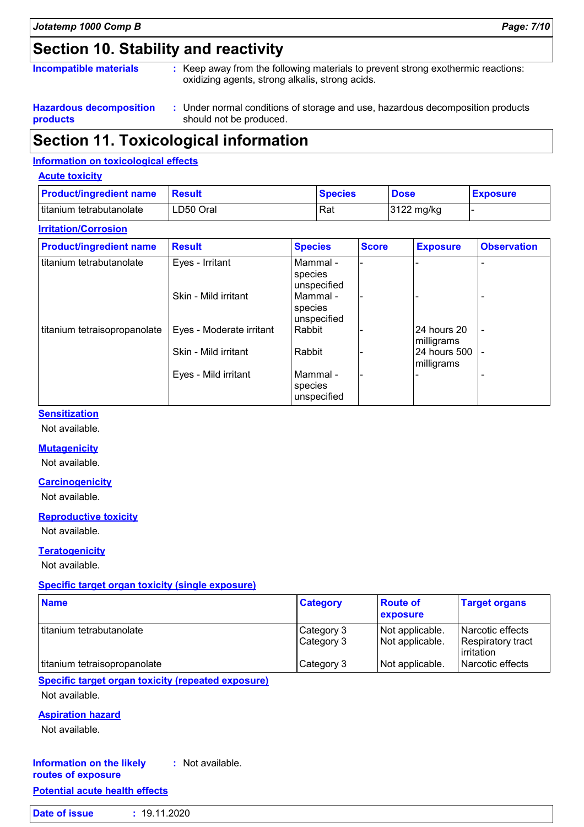# **Section 10. Stability and reactivity**

#### **Incompatible materials :**

: Keep away from the following materials to prevent strong exothermic reactions: oxidizing agents, strong alkalis, strong acids.

**Hazardous decomposition products**

Under normal conditions of storage and use, hazardous decomposition products **:** should not be produced.

### **Section 11. Toxicological information**

#### **Information on toxicological effects**

#### **Acute toxicity**

| <b>Product/ingredient name</b> | <b>Besult</b> | <b>Species</b> | <b>Dose</b> | <b>Exposure</b> |
|--------------------------------|---------------|----------------|-------------|-----------------|
| titanium tetrabutanolate       | LD50 Oral     | Rat            | 3122 mg/kg  |                 |

#### **Irritation/Corrosion**

| <b>Product/ingredient name</b> | <b>Result</b>            | <b>Species</b>                     | <b>Score</b> | <b>Exposure</b>             | <b>Observation</b> |
|--------------------------------|--------------------------|------------------------------------|--------------|-----------------------------|--------------------|
| titanium tetrabutanolate       | Eyes - Irritant          | Mammal -<br>species<br>unspecified |              |                             |                    |
|                                | Skin - Mild irritant     | Mammal -<br>species<br>unspecified |              |                             |                    |
| titanium tetraisopropanolate   | Eyes - Moderate irritant | Rabbit                             |              | 24 hours 20<br>milligrams   | $\blacksquare$     |
|                                | Skin - Mild irritant     | Rabbit                             |              | I24 hours 500<br>milligrams |                    |
|                                | Eyes - Mild irritant     | Mammal -<br>species<br>unspecified |              |                             |                    |

### **Sensitization**

Not available.

#### **Mutagenicity**

Not available.

#### **Carcinogenicity**

Not available.

#### **Reproductive toxicity**

Not available.

#### **Teratogenicity**

Not available.

#### **Specific target organ toxicity (single exposure)**

| <b>Name</b>                  | <b>Category</b>          | <b>Route of</b><br><b>exposure</b> | <b>Target organs</b>                                        |
|------------------------------|--------------------------|------------------------------------|-------------------------------------------------------------|
| I titanium tetrabutanolate   | Category 3<br>Category 3 | Not applicable.<br>Not applicable. | Narcotic effects<br>Respiratory tract<br><b>lirritation</b> |
| titanium tetraisopropanolate | Category 3               | Not applicable.                    | Narcotic effects                                            |

#### **Specific target organ toxicity (repeated exposure)**

Not available.

#### **Aspiration hazard**

Not available.

#### **Information on the likely routes of exposure :** Not available.

### **Potential acute health effects**

| Date of issue | : 19.11.2020 |
|---------------|--------------|
|               |              |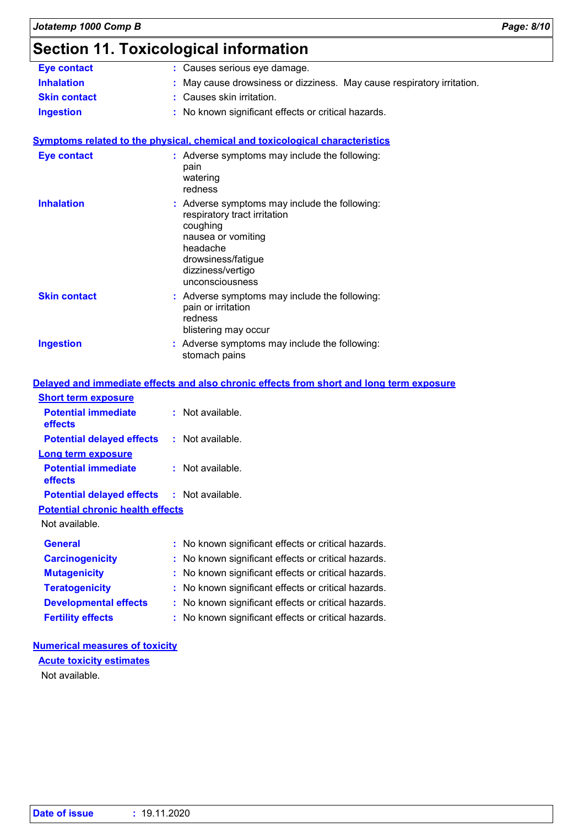### **Section 11. Toxicological information**

|                                            | <b>.</b><br>,,,,,,,,,                                                                                                                                                                     |
|--------------------------------------------|-------------------------------------------------------------------------------------------------------------------------------------------------------------------------------------------|
| <b>Eye contact</b>                         | : Causes serious eye damage.                                                                                                                                                              |
| <b>Inhalation</b>                          | May cause drowsiness or dizziness. May cause respiratory irritation.                                                                                                                      |
| <b>Skin contact</b>                        | : Causes skin irritation.                                                                                                                                                                 |
| <b>Ingestion</b>                           | : No known significant effects or critical hazards.                                                                                                                                       |
|                                            | <b>Symptoms related to the physical, chemical and toxicological characteristics</b>                                                                                                       |
| <b>Eye contact</b>                         | : Adverse symptoms may include the following:<br>pain<br>watering<br>redness                                                                                                              |
| <b>Inhalation</b>                          | : Adverse symptoms may include the following:<br>respiratory tract irritation<br>coughing<br>nausea or vomiting<br>headache<br>drowsiness/fatigue<br>dizziness/vertigo<br>unconsciousness |
| <b>Skin contact</b>                        | : Adverse symptoms may include the following:<br>pain or irritation<br>redness<br>blistering may occur                                                                                    |
| <b>Ingestion</b>                           | : Adverse symptoms may include the following:<br>stomach pains                                                                                                                            |
|                                            | Delayed and immediate effects and also chronic effects from short and long term exposure                                                                                                  |
| <b>Short term exposure</b>                 |                                                                                                                                                                                           |
| <b>Potential immediate</b><br>effects      | : Not available.                                                                                                                                                                          |
| <b>Potential delayed effects</b>           | : Not available.                                                                                                                                                                          |
| <b>Long term exposure</b>                  |                                                                                                                                                                                           |
| <b>Potential immediate</b><br>effects      | : Not available.                                                                                                                                                                          |
| Potential delayed effects : Not available. |                                                                                                                                                                                           |
| <b>Potential chronic health effects</b>    |                                                                                                                                                                                           |
| Not available.                             |                                                                                                                                                                                           |
| <b>General</b>                             | No known significant effects or critical hazards.                                                                                                                                         |
| <b>Carcinogenicity</b>                     | No known significant effects or critical hazards.                                                                                                                                         |
| <b>Mutagenicity</b>                        | No known significant effects or critical hazards.                                                                                                                                         |
| <b>Teratogenicity</b>                      | No known significant effects or critical hazards.                                                                                                                                         |
| <b>Developmental effects</b>               | No known significant effects or critical hazards.                                                                                                                                         |
| <b>Fertility effects</b>                   | : No known significant effects or critical hazards.                                                                                                                                       |
|                                            |                                                                                                                                                                                           |

### **Numerical measures of toxicity**

**Acute toxicity estimates**

Not available.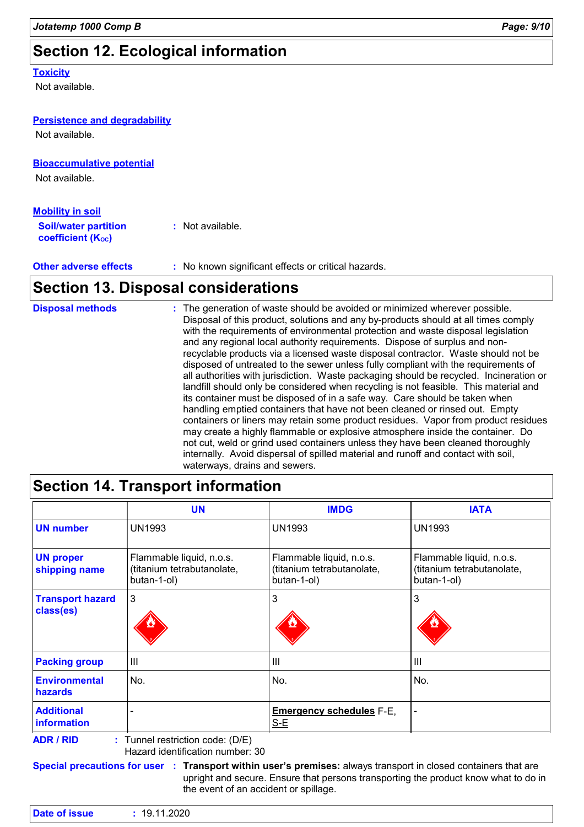# **Section 12. Ecological information**

#### **Toxicity**

Not available.

| <b>Persistence and degradability</b>                    |                                                                                                                                                                                                                                                                                   |
|---------------------------------------------------------|-----------------------------------------------------------------------------------------------------------------------------------------------------------------------------------------------------------------------------------------------------------------------------------|
| Not available.                                          |                                                                                                                                                                                                                                                                                   |
| <b>Bioaccumulative potential</b>                        |                                                                                                                                                                                                                                                                                   |
| Not available.                                          |                                                                                                                                                                                                                                                                                   |
| <b>Mobility in soil</b>                                 |                                                                                                                                                                                                                                                                                   |
| <b>Soil/water partition</b><br><b>coefficient (Koc)</b> | : Not available.                                                                                                                                                                                                                                                                  |
| <b>Other adverse effects</b>                            | : No known significant effects or critical hazards.                                                                                                                                                                                                                               |
|                                                         | <b>Section 13. Disposal considerations</b>                                                                                                                                                                                                                                        |
| <b>Disposal methods</b>                                 | : The generation of waste should be avoided or minimized wherever possible.<br>Disposal of this product, solutions and any by-products should at all times comply<br>ومتلقط والمراجع والمستقل والملاحيين المستوسط والملاحظ الملاوي ومستحدث والمستحدث والمستقل والمستوسط والمرابان |

| <b>DISPOSAI METHOUS</b> | $\pm$ The generation of waste should be avoided or minimized wherever possible.<br>Disposal of this product, solutions and any by-products should at all times comply<br>with the requirements of environmental protection and waste disposal legislation<br>and any regional local authority requirements. Dispose of surplus and non-<br>recyclable products via a licensed waste disposal contractor. Waste should not be<br>disposed of untreated to the sewer unless fully compliant with the requirements of<br>all authorities with jurisdiction. Waste packaging should be recycled. Incineration or<br>landfill should only be considered when recycling is not feasible. This material and<br>its container must be disposed of in a safe way. Care should be taken when<br>handling emptied containers that have not been cleaned or rinsed out. Empty<br>containers or liners may retain some product residues. Vapor from product residues<br>may create a highly flammable or explosive atmosphere inside the container. Do<br>not cut, weld or grind used containers unless they have been cleaned thoroughly<br>internally. Avoid dispersal of spilled material and runoff and contact with soil, |
|-------------------------|-------------------------------------------------------------------------------------------------------------------------------------------------------------------------------------------------------------------------------------------------------------------------------------------------------------------------------------------------------------------------------------------------------------------------------------------------------------------------------------------------------------------------------------------------------------------------------------------------------------------------------------------------------------------------------------------------------------------------------------------------------------------------------------------------------------------------------------------------------------------------------------------------------------------------------------------------------------------------------------------------------------------------------------------------------------------------------------------------------------------------------------------------------------------------------------------------------------------|
|                         | waterways, drains and sewers.                                                                                                                                                                                                                                                                                                                                                                                                                                                                                                                                                                                                                                                                                                                                                                                                                                                                                                                                                                                                                                                                                                                                                                                     |

### **Section 14. Transport information**

|                                                      | <b>UN</b>                                                             | <b>IMDG</b>                                                           | <b>IATA</b>                                                           |
|------------------------------------------------------|-----------------------------------------------------------------------|-----------------------------------------------------------------------|-----------------------------------------------------------------------|
| <b>UN number</b>                                     | <b>UN1993</b>                                                         | <b>UN1993</b>                                                         | <b>UN1993</b>                                                         |
| <b>UN proper</b><br>shipping name                    | Flammable liquid, n.o.s.<br>(titanium tetrabutanolate,<br>butan-1-ol) | Flammable liquid, n.o.s.<br>(titanium tetrabutanolate,<br>butan-1-ol) | Flammable liquid, n.o.s.<br>(titanium tetrabutanolate,<br>butan-1-ol) |
| <b>Transport hazard</b><br>class(es)                 | 3                                                                     | 3                                                                     | 3                                                                     |
| <b>Packing group</b>                                 | $\mathbf{III}$                                                        | $\mathbf{III}$                                                        | $\mathbf{III}$                                                        |
| <b>Environmental</b><br><b>hazards</b>               | No.                                                                   | No.                                                                   | No.                                                                   |
| <b>Additional</b><br>information                     |                                                                       | <b>Emergency schedules F-E,</b><br>$S-E$                              |                                                                       |
| <b>ADR / RID</b><br>: Tunnel restriction code: (D/E) |                                                                       |                                                                       |                                                                       |

Hazard identification number: 30

**Special precautions for user Transport within user's premises:** always transport in closed containers that are **:** upright and secure. Ensure that persons transporting the product know what to do in the event of an accident or spillage.

| Date of issue | 19.11.2020 |  |
|---------------|------------|--|
|               |            |  |